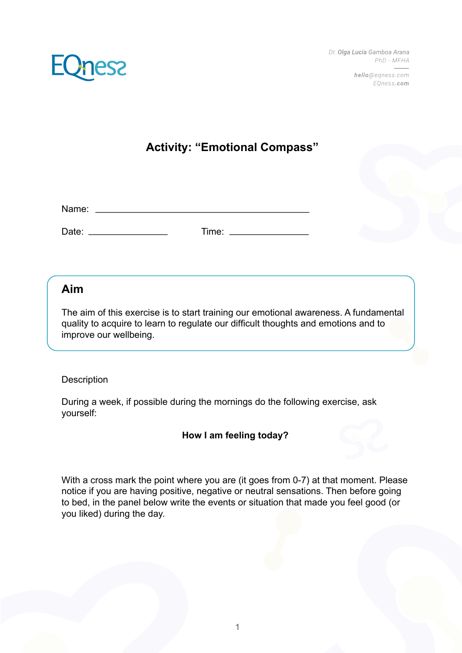

hello@egness.com EOness.com



### **Activity: "Emotional Compass"**

Name: Website and the set of the set of the set of the set of the set of the set of the set of the set of the set of the set of the set of the set of the set of the set of the set of the set of the set of the set of the se

Date: Time:

#### **Aim**

The aim of this exercise is to start training our emotional awareness. A fundamental quality to acquire to learn to regulate our difficult thoughts and emotions and to improve our wellbeing.

#### **Description**

During a week, if possible during the mornings do the following exercise, ask yourself:

#### **How I am feeling today?**

With a cross mark the point where you are (it goes from 0-7) at that moment. Please notice if you are having positive, negative or neutral sensations. Then before going to bed, in the panel below write the events or situation that made you feel good (or you liked) during the day.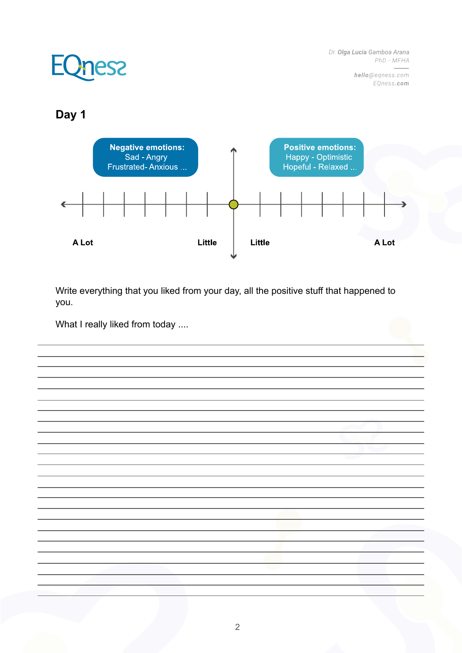> hello@eqness.com EQness.com

# **EQness**

### **Day 1**



Write everything that you liked from your day, all the positive stuff that happened to you.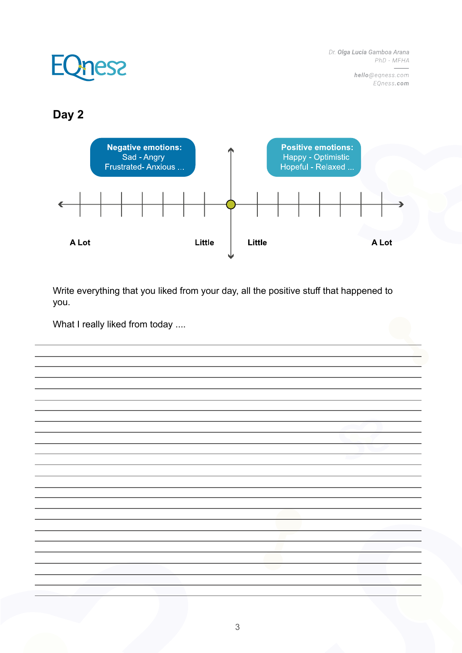> hello@eqness.com EQness.com

### **EQness**

### **Day 2**



Write everything that you liked from your day, all the positive stuff that happened to you.

What I really liked from today ....

3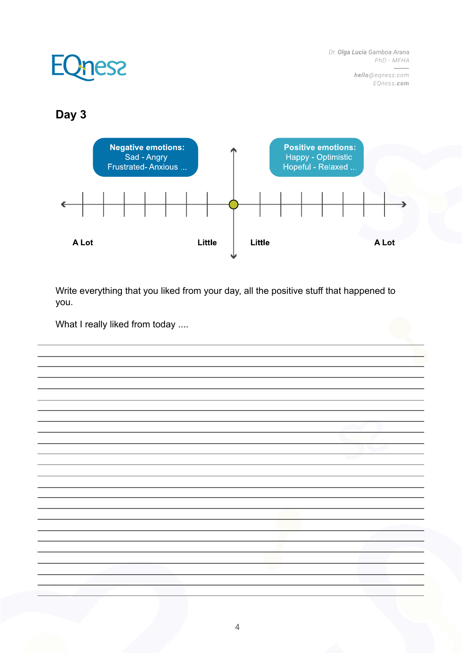> hello@eqness.com EQness.com

# **EQness**

### **Day 3**



Write everything that you liked from your day, all the positive stuff that happened to you.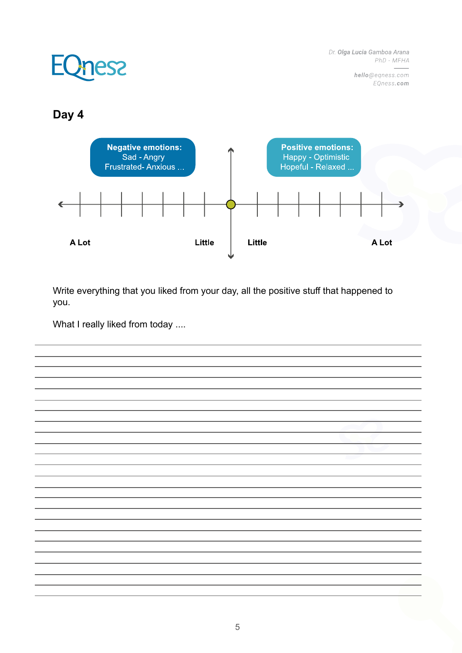> hello@eqness.com EQness.com

## **EQness**

#### **Day 4**



Write everything that you liked from your day, all the positive stuff that happened to you.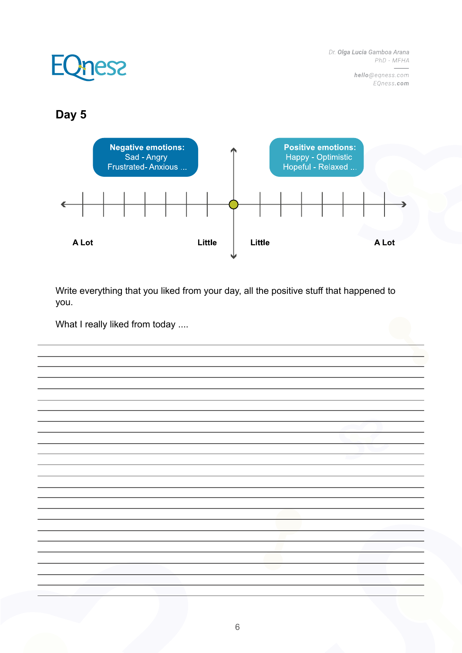> hello@eqness.com EQness.com

# **EQness**

#### **Day 5**



Write everything that you liked from your day, all the positive stuff that happened to you.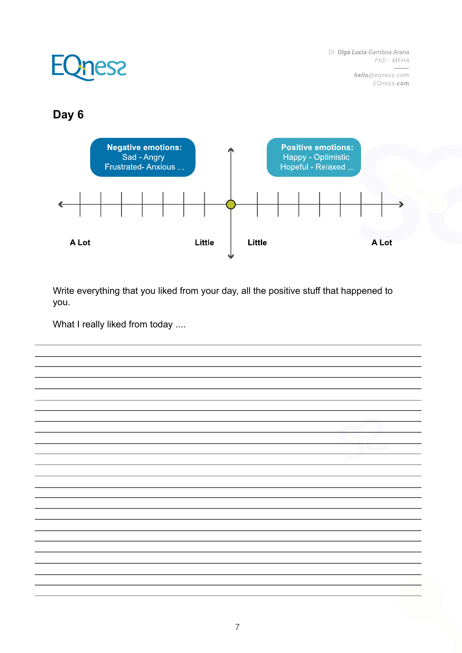> hello@eqness.com EQness.com

## **EQness**

### **Day 6**



Write everything that you liked from your day, all the positive stuff that happened to you.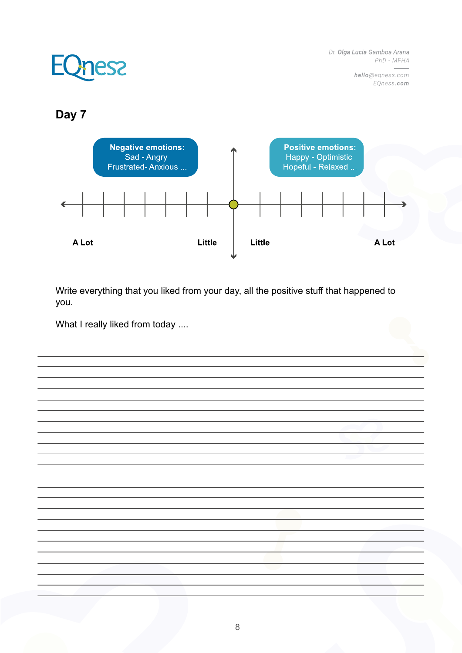> hello@eqness.com EQness.com

# **EQness**

### **Day 7**



Write everything that you liked from your day, all the positive stuff that happened to you.